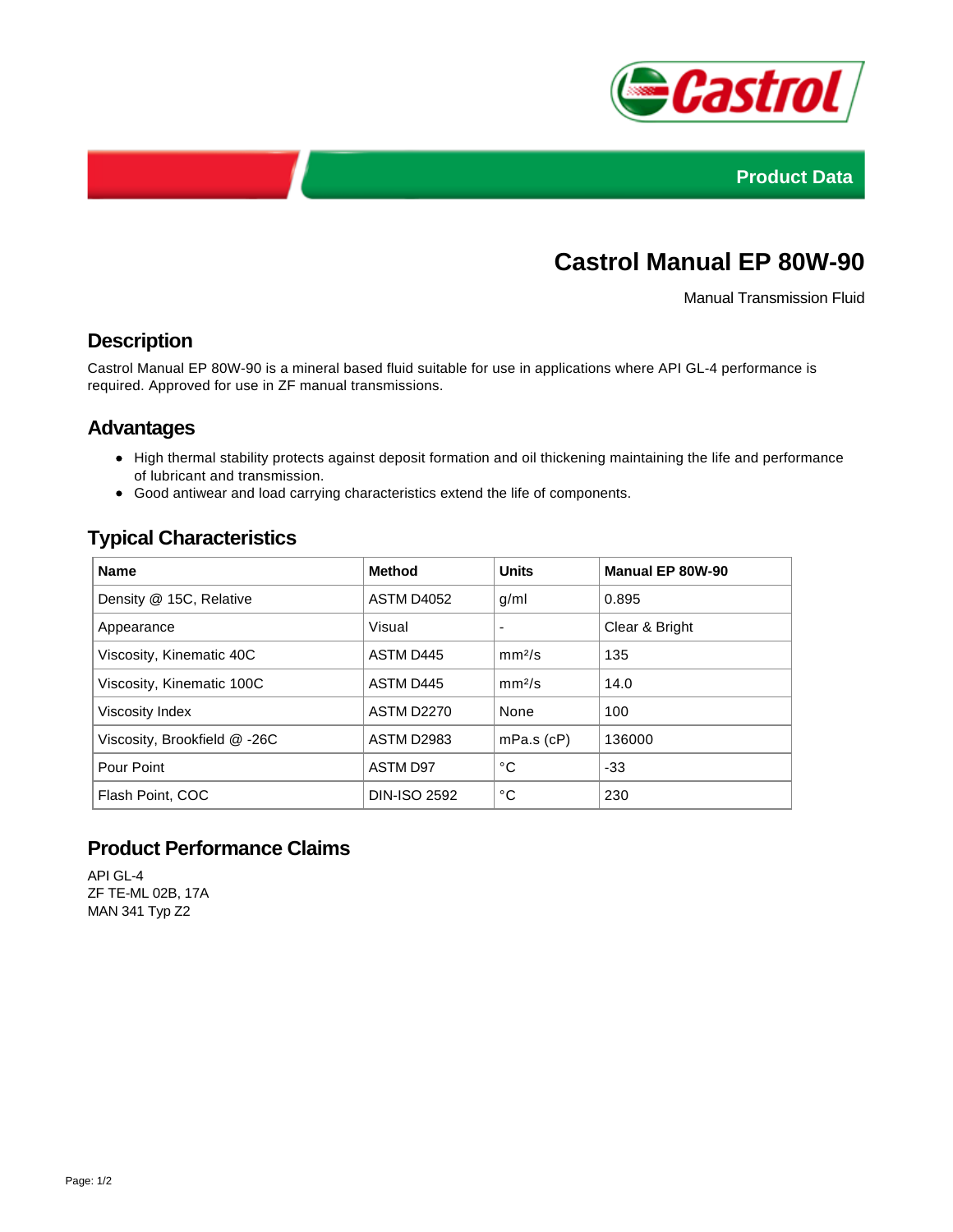



# **Castrol Manual EP 80W-90**

Manual Transmission Fluid

## **Description**

Castrol Manual EP 80W-90 is a mineral based fluid suitable for use in applications where API GL-4 performance is required. Approved for use in ZF manual transmissions.

### **Advantages**

- High thermal stability protects against deposit formation and oil thickening maintaining the life and performance of lubricant and transmission.
- Good antiwear and load carrying characteristics extend the life of components.

# **Typical Characteristics**

| <b>Name</b>                  | <b>Method</b>       | <b>Units</b>       | Manual EP 80W-90 |
|------------------------------|---------------------|--------------------|------------------|
| Density @ 15C, Relative      | ASTM D4052          | g/ml               | 0.895            |
| Appearance                   | Visual              |                    | Clear & Bright   |
| Viscosity, Kinematic 40C     | ASTM D445           | mm <sup>2</sup> /s | 135              |
| Viscosity, Kinematic 100C    | ASTM D445           | mm <sup>2</sup> /s | 14.0             |
| Viscosity Index              | <b>ASTM D2270</b>   | None               | 100              |
| Viscosity, Brookfield @ -26C | <b>ASTM D2983</b>   | $mPa.s$ ( $cP$ )   | 136000           |
| Pour Point                   | <b>ASTM D97</b>     | °C                 | $-33$            |
| Flash Point, COC             | <b>DIN-ISO 2592</b> | °C                 | 230              |

## **Product Performance Claims**

API GL-4 ZF TE-ML 02B, 17A MAN 341 Typ Z2